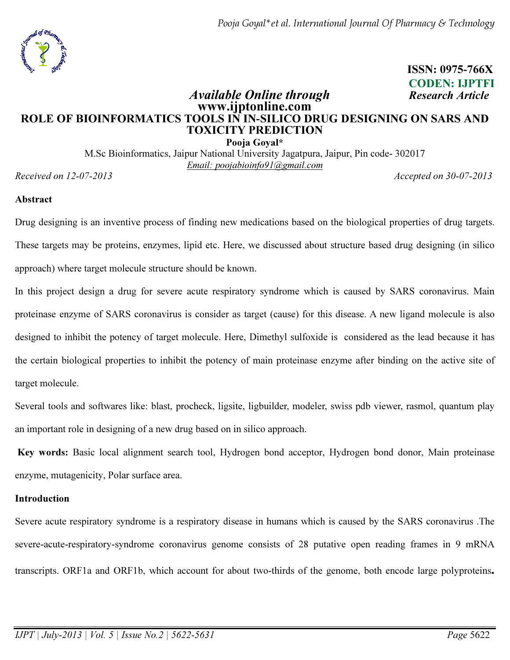Pooja Goyal\*et al. International Journal Of Pharmacy & Technology



 ISSN: 0975-766X CODEN: IJPTFI

# Available Online through Research Article www.ijptonline.com ROLE OF BIOINFORMATICS TOOLS IN IN-SILICO DRUG DESIGNING ON SARS AND TOXICITY PREDICTION

Pooja Goyal\* M.Sc Bioinformatics, Jaipur National University Jagatpura, Jaipur, Pin code- 302017 Email: poojabioinfo91@gmail.com

Received on 12-07-2013 Accepted on 30-07-2013

#### Abstract

Drug designing is an inventive process of finding new medications based on the biological properties of drug targets. These targets may be proteins, enzymes, lipid etc. Here, we discussed about structure based drug designing (in silico approach) where target molecule structure should be known.

In this project design a drug for severe acute respiratory syndrome which is caused by SARS coronavirus. Main proteinase enzyme of SARS coronavirus is consider as target (cause) for this disease. A new ligand molecule is also designed to inhibit the potency of target molecule. Here, Dimethyl sulfoxide is considered as the lead because it has the certain biological properties to inhibit the potency of main proteinase enzyme after binding on the active site of target molecule.

Several tools and softwares like: blast, procheck, ligsite, ligbuilder, modeler, swiss pdb viewer, rasmol, quantum play an important role in designing of a new drug based on in silico approach.

Key words: Basic local alignment search tool, Hydrogen bond acceptor, Hydrogen bond donor, Main proteinase enzyme, mutagenicity, Polar surface area.

#### Introduction

Severe acute respiratory syndrome is a respiratory disease in humans which is caused by the SARS coronavirus .The severe-acute-respiratory-syndrome coronavirus genome consists of 28 putative open reading frames in 9 mRNA transcripts. ORF1a and ORF1b, which account for about two-thirds of the genome, both encode large polyproteins.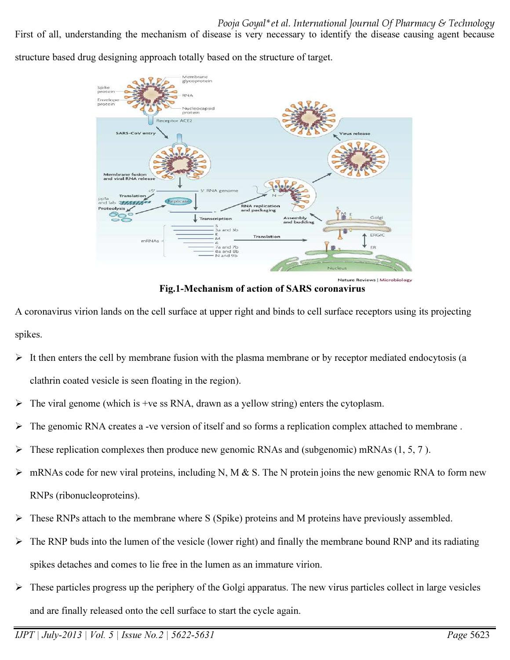First of all, understanding the mechanism of disease is very necessary to identify the disease causing agent because

structure based drug designing approach totally based on the structure of target.



Fig.1-Mechanism of action of SARS coronavirus

A coronavirus virion lands on the cell surface at upper right and binds to cell surface receptors using its projecting spikes.

- $\triangleright$  It then enters the cell by membrane fusion with the plasma membrane or by receptor mediated endocytosis (a clathrin coated vesicle is seen floating in the region).
- $\triangleright$  The viral genome (which is +ve ss RNA, drawn as a yellow string) enters the cytoplasm.
- $\triangleright$  The genomic RNA creates a -ve version of itself and so forms a replication complex attached to membrane.
- $\triangleright$  These replication complexes then produce new genomic RNAs and (subgenomic) mRNAs (1, 5, 7).
- $\triangleright$  mRNAs code for new viral proteins, including N, M & S. The N protein joins the new genomic RNA to form new RNPs (ribonucleoproteins).
- $\triangleright$  These RNPs attach to the membrane where S (Spike) proteins and M proteins have previously assembled.
- $\triangleright$  The RNP buds into the lumen of the vesicle (lower right) and finally the membrane bound RNP and its radiating spikes detaches and comes to lie free in the lumen as an immature virion.
- $\triangleright$  These particles progress up the periphery of the Golgi apparatus. The new virus particles collect in large vesicles and are finally released onto the cell surface to start the cycle again.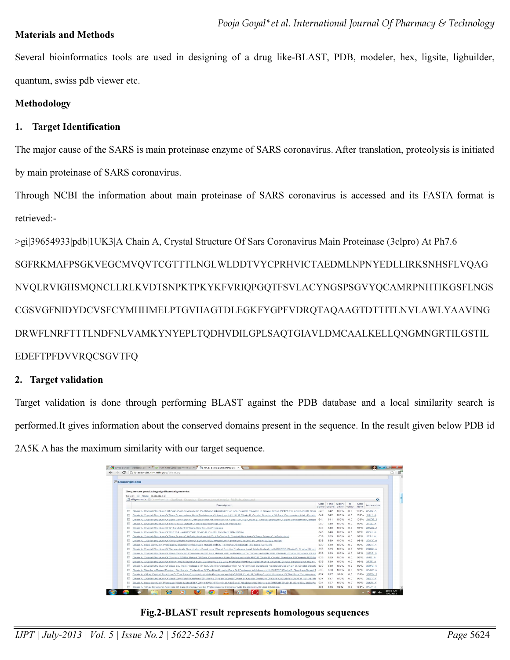#### Materials and Methods

Several bioinformatics tools are used in designing of a drug like-BLAST, PDB, modeler, hex, ligsite, ligbuilder, quantum, swiss pdb viewer etc.

#### Methodology

#### 1. Target Identification

The major cause of the SARS is main proteinase enzyme of SARS coronavirus. After translation, proteolysis is initiated by main proteinase of SARS coronavirus.

Through NCBI the information about main proteinase of SARS coronavirus is accessed and its FASTA format is retrieved:-

>gi|39654933|pdb|1UK3|A Chain A, Crystal Structure Of Sars Coronavirus Main Proteinase (3clpro) At Ph7.6 SGFRKMAFPSGKVEGCMVQVTCGTTTLNGLWLDDTVYCPRHVICTAEDMLNPNYEDLLIRKSNHSFLVQAG NVQLRVIGHSMQNCLLRLKVDTSNPKTPKYKFVRIQPGQTFSVLACYNGSPSGVYQCAMRPNHTIKGSFLNGS CGSVGFNIDYDCVSFCYMHHMELPTGVHAGTDLEGKFYGPFVDRQTAQAAGTDTTITLNVLAWLYAAVING DRWFLNRFTTTLNDFNLVAMKYNYEPLTQDHVDILGPLSAQTGIAVLDMCAALKELLQNGMNGRTILGSTIL EDEFTPFDVVRQCSGVTFQ

### 2. Target validation

Target validation is done through performing BLAST against the PDB database and a local similarity search is performed.It gives information about the conserved domains present in the sequence. In the result given below PDB id 2A5K A has the maximum similarity with our target sequence.

|           | → C h blast.ncbi.nlm.nih.gov/Blast.coi                                                                                                              |      |                                        |      |                |              |               |  |
|-----------|-----------------------------------------------------------------------------------------------------------------------------------------------------|------|----------------------------------------|------|----------------|--------------|---------------|--|
|           | <b>EDescriptions</b>                                                                                                                                |      |                                        |      |                |              |               |  |
|           |                                                                                                                                                     |      |                                        |      |                |              |               |  |
|           | Sequences producing significant alignments:                                                                                                         |      |                                        |      |                |              |               |  |
|           | Select: All None Selected:0                                                                                                                         |      |                                        |      |                |              |               |  |
|           | 11 Alianments Clownload > GenPept Graphics Distance tree of results Multiple alianment                                                              |      |                                        |      |                |              | ۰             |  |
|           | Description                                                                                                                                         | Max. | Total Query<br>score score cover value |      | Ε              | Max<br>ident | Accession     |  |
|           | Chain A. Crystal Structures Of Sars Coronavirus Main Peptidase Inhibited By An Aza-Peptide Epoxide In Space Group P212121 >pdbl2A5KIB Chair         | 642  | 642                                    | 100% | 0 <sub>0</sub> | 100%         | 2ASK A        |  |
| m         | Chain A. Crystal Structure Of Sars Coronavirus Main Proteinase (3clpro) >pdb 1UJ1 B Chain B, Crystal Structure Of Sars Coronavirus Main Protein     | 642  | 642                                    | 100% | 0.0            | 100%         | 1UJ1 A        |  |
|           | Chain A. Crystal Structure Of Sars-Cov Mpro In Complex With An Inhibitor N1 >pdbl1WOFIB Chain B. Crystal Structure Of Sars-Cov Mpro In Comple       | 641  | 641                                    | 100% | 0 <sub>0</sub> |              | 100% 1WOF A   |  |
| <b>FO</b> | Chain A. Crystal Structure Of The S139a Mutant Of Sars-Coronovirus 3c-Like Protease                                                                 | 640  | 640                                    | 100% | 0.0            | 99%          | 3F9E A        |  |
|           | Chain A. Crystal Structure Of G11a Mutant Of Sars-Coy 3c-Like Protease                                                                              | 640  | 640                                    | 100% | 0.0            |              | 99% 2PWX A    |  |
| m         | Chain A. Crystal Structure Of Ms8104 >pdb 2YY4 B Chain B, Crystal Structure Of Ms8104                                                               | 640  | 640                                    | 100% | 0.0            | 99%          | 2YY4 A        |  |
|           | Chain A. Crystal Structure Of Sars 3clpro C145a Mutant >pdbl1Z1JIB Chain B. Crystal Structure Of Sars 3clpro C145a Mutant                           | 639  | 639                                    | 100% | 0 <sub>0</sub> | 99%          | 121JA         |  |
|           | Chain A, Crystal Structure Of A Monomeric Form Of Severe Acute Respiratory Syndrome (Sars) 3c-Like Protease Mutant                                  | 639  | 639                                    | 100% | 0.0            | 99%          | 2QCY A        |  |
|           | Chain A. Sars-Cov Main Protease Monomeric Arg298ala Mutant With N-Terminal Additional Residues (Gly-Ser).                                           | 639  | 639                                    | 100% | 0 <sub>0</sub> | 99%          | $3M3T$ A      |  |
|           | Chain A. Crystal Structure Of Severe Acute Respiratory Syndrome (Sars) 3c-Like Protease Asn214ala Mutant >pdbl2QC2IB Chain B. Crystal Structu 639   |      | 639                                    | 100% | 0.0            | 99%          | 2QC2 A        |  |
|           | Chain A. Crystal Structure Of Sars-Cov Main Protease Asn214ala Mutant With Authorize N-Terminus >pdbl3M3SIB Chain B. Crystal Structure Of Sa 639    |      | 639                                    | 100% | 0 <sub>0</sub> | 99%          | 3M3S A        |  |
|           | Chain A. Crystal Structure Of Dimeric R298a Mutant Of Sars Coronavirus Main Protease >pdbl4HI3IB Chain B. Crystal Structure Of Dimeric R298a 639    |      | 639                                    | 100% | 0.0            | 99%          | 4HI3 A        |  |
|           | Chain A. Crystal Structure Of The F140a Mutant Of Sars-Coronovirus 3c-Like Protease At Ph 6.0 >pdbl3F9FIB Chain B. Crystal Structure Of The F1+ 639 |      | 639                                    | 100% | 0 <sub>0</sub> | 99%          | 3F9F A        |  |
|           | Chain A. Crystal Structure Of Sars-coy Main Protease H41a Mutant In Complex With An N-terminal Substrate >pdbl2Q6GIB Chain B. Crystal Structu 639   |      | 639                                    | 100% | 0.0            | 99%          | 206G A        |  |
|           | Chain A. Structure-Based Design, Synthesis, Evaluation Of Peptide-Mimetic Sars 3cl Protease Inhibitors >pdbl3ATWIB Chain B. Structure-Based [ 638   |      | 638                                    | 100% | 0 <sub>0</sub> | 99%          | <b>3ATW A</b> |  |
|           | Chain A, X-Ray Crystal Structure Of The Sars Coronavirus Main Protease >pdb 1Q2WIB Chain B, X-Ray Crystal Structure Of The Sars Coronavirus 637     |      | 637                                    | 99%  | 0.0            |              | 100% 1Q2W A   |  |
|           | Chain A. Crystal Structure Of Sars-Cov Mpro Mutant in P21 At Ph6.9 >pdbl3E91IB Chain B. Crystal Structure Of Sars-Cov Mpro Mutant In P21 At Phf.    | 637  | 637                                    | 100% | 0 <sub>0</sub> | 99%          | 3E91 A        |  |
|           | Chain A. Sars-Coy Main Protease Triple Mutant StiA WITH TWO N-Terminal Additional Residue (Gly-Ser) >pdbl3M3VIB Chain B. Sars-Coy Main Pro 637      |      | 637                                    | 100% | 0 <sub>n</sub> | 99%          | <b>BMBV A</b> |  |
|           | Chain A. X-Ray Structural Analysis Of Sars Coronavirus 3cl Proteinase In Complex With Designed Anti-Viral Inhibitors                                | 636  | 636                                    | 99%  | 0 <sup>0</sup> |              | 100% 2ALV A   |  |

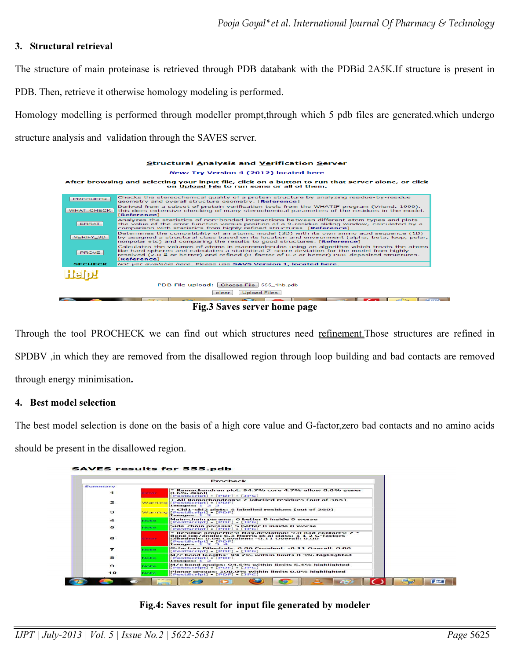### 3. Structural retrieval

The structure of main proteinase is retrieved through PDB databank with the PDBid 2A5K.If structure is present in

PDB. Then, retrieve it otherwise homology modeling is performed.

Homology modelling is performed through modeller prompt,through which 5 pdb files are generated.which undergo structure analysis and validation through the SAVES server.



Fig.3 Saves server home page

Through the tool PROCHECK we can find out which structures need refinement. Those structures are refined in SPDBV ,in which they are removed from the disallowed region through loop building and bad contacts are removed through energy minimisation.

#### 4. Best model selection

The best model selection is done on the basis of a high core value and G-factor,zero bad contacts and no amino acids

should be present in the disallowed region.

| SAVES results for 555.pdb |  |  |
|---------------------------|--|--|

|                  |                                  | Procheck                                                                                                                                                                                                          |  |  |
|------------------|----------------------------------|-------------------------------------------------------------------------------------------------------------------------------------------------------------------------------------------------------------------|--|--|
| Summary          |                                  |                                                                                                                                                                                                                   |  |  |
| $\mathbf{I}$     | <b><i><u>CONTRACTORS</u></i></b> | * Ramachandran plot: 94.7% core 4.7% allow 0.0% gener<br>0.6% disall<br>[PostScript] [PDF] [JPG]                                                                                                                  |  |  |
| $\mathbf{z}$     |                                  | + All Ramachandrans: 7 labelled residues (out of 365)<br>Warning [PostScript] • [PDF]<br>Images: $1\,2\,3$                                                                                                        |  |  |
| 3                |                                  | + Chi1-chi2 plots: 4 labelled residues (out of 260)<br>Warning [PostScript] • [PDF]<br>Images: $1\,2$                                                                                                             |  |  |
| $\blacktriangle$ | <b>Note</b>                      | Main-chain params: 6 better 0 inside 0 worse<br>[PostScript] - [PDF] - [JPG]                                                                                                                                      |  |  |
| 5                | Nilsen Hans                      | Side-chain params: 5 better 0 inside 0 worse<br>[PostScript] - [PDF] - [JPG]                                                                                                                                      |  |  |
| 6                | <b>Construction</b>              | * Residue properties: Max.deviation: 9.0 Bad contacts: 7 *<br>Bond len/angle: 6.3 Morris et al class: 1 1 2 G-factors<br>Dihedrals: 0.06 Covalent: -0.11 Overall: 0.00<br>[PostScript] • [PDF]<br>Images: 1 2 3 4 |  |  |
| $\overline{ }$   | Nicolas -                        | G-factors Dihedrals: 0.06 Covalent: -0.11 Overall: 0.00<br>[PostScript] - [PDF] - [JPG]                                                                                                                           |  |  |
| 8                | Note:                            | M/c bond lengths: 99.7% within limits 0.3% highlighted<br>[PostScript] • [PDF]<br>Images: $1\,2$                                                                                                                  |  |  |
| $\bullet$        | Note:                            | M/c bond angles: 94.6% within limits 5.4% highlighted<br>[PostScript] - [PDF] - [JPG]                                                                                                                             |  |  |
| 10               | <b>Note</b>                      | Planar groups: 100.0% within limits 0.0% highlighted<br>[PostScript] - [PDF] - [JPG]                                                                                                                              |  |  |
|                  |                                  |                                                                                                                                                                                                                   |  |  |

#### Fig.4: Saves result for input file generated by modeler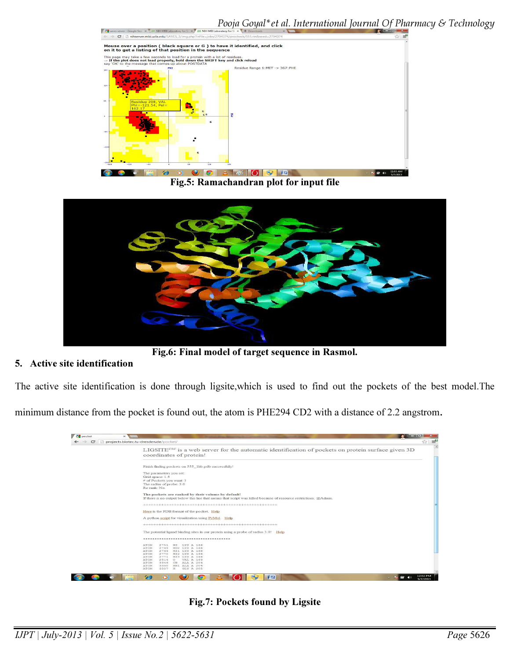

Fig.5: Ramachandran plot for input file



Fig.6: Final model of target sequence in Rasmol.

### 5. Active site identification

 $\sqrt{3}$ 

The active site identification is done through ligsite,which is used to find out the pockets of the best model.The

minimum distance from the pocket is found out, the atom is PHE294 CD2 with a distance of 2.2 angstrom.



Fig.7: Pockets found by Ligsite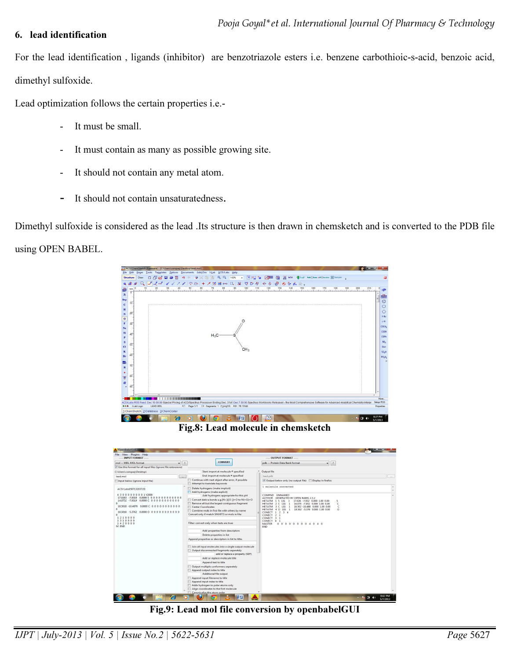#### 6. lead identification

For the lead identification , ligands (inhibitor) are benzotriazole esters i.e. benzene carbothioic-s-acid, benzoic acid, dimethyl sulfoxide.

Lead optimization follows the certain properties i.e.-

- It must be small.
- It must contain as many as possible growing site.
- It should not contain any metal atom.
- It should not contain unsaturatedness.

Dimethyl sulfoxide is considered as the lead .Its structure is then drawn in chemsketch and is converted to the PDB file using OPEN BABEL.



Fig.8: Lead molecule in chemsketch

| File View Plugins Help<br>---- INPUT FORMAT ----                                                                                                                                            |                                                                                                                                                                                                                                  | ---- OUTPUT FORMAT ----                                                                                                                                                                                                                                                                                                                                         |
|---------------------------------------------------------------------------------------------------------------------------------------------------------------------------------------------|----------------------------------------------------------------------------------------------------------------------------------------------------------------------------------------------------------------------------------|-----------------------------------------------------------------------------------------------------------------------------------------------------------------------------------------------------------------------------------------------------------------------------------------------------------------------------------------------------------------|
| mol--MDL MOL format<br> 2 <br>۰                                                                                                                                                             | <b>CONVERT</b>                                                                                                                                                                                                                   | pdb -- Protein Data Bank format<br>$-17$                                                                                                                                                                                                                                                                                                                        |
| V Use this format for all input files (ignore file extensions)                                                                                                                              |                                                                                                                                                                                                                                  |                                                                                                                                                                                                                                                                                                                                                                 |
| C:\Users\compaq\Desktop\                                                                                                                                                                    | Start import at molecule # specified                                                                                                                                                                                             | Output file                                                                                                                                                                                                                                                                                                                                                     |
| lead.mol<br>$\sim$                                                                                                                                                                          | End import at molecule # specified                                                                                                                                                                                               | lead.pdb                                                                                                                                                                                                                                                                                                                                                        |
| Input below (ignore input file)                                                                                                                                                             | Continue with next object after error, if possible<br>Attempt to translate keywords                                                                                                                                              | Output below only (no output file) [ Display in firefox                                                                                                                                                                                                                                                                                                         |
| ACD/Labs05071320372D<br>43000000001V2000<br>17.0263 -7.9319 0.0000 S 0 0 0 0 0 0 0 0 0 0 0 0                                                                                                | Delete hydrogens (make implicit)<br>Add hydrogens (make explicit)<br>Add hydrogens appropriate for this pH                                                                                                                       | 1 molecule converted<br>COMPND UNNAMED<br>GENERATED BY OPEN BABEL 2.3.2<br><b>AUTHOR</b>                                                                                                                                                                                                                                                                        |
| 14.0752 -7.9319 0.0000 C 0 0 0 0 0 0 0 0 0 0 0<br>n<br>18.5018 -10.4876 0.0000 C 0 0 0 0 0 0 0 0 0 0 0<br>$\Omega$<br>18.5018 -5.3762 0.0000 0 0 0 0 0 0 0 0 0 0 0 0<br>$\Omega$<br>1210000 | Convert dative bonds e.q.[N+]([O-])=O to N(=O)=O<br>Remove all but the largest contiguous fragment<br>Center Coordinates<br>同<br>Combine mols in first file with others by name<br>Convert only if match SMARTS or mols in file: | 17.026 -7.932 0.000 1.00 0.00<br>HETATM 1 S LIG<br>1<br>c<br>2 C LIG<br>14.075 -7.932 0.000 1.00 0.00<br><b>HFTATM</b><br>1<br>c<br><b>HFTATM</b><br>3 C LIG<br>$\mathbf{1}$<br>18.502 -10.488 0.000 1.00 0.00<br>$LIG$ 1<br>18.502 -5.376 0.000 1.00 0.00<br>$\circ$<br><b>HETATM</b><br>4 0<br>1, 2, 3, 4<br>CONECT<br>CONECT<br>2 <sub>1</sub><br>CONFCT 3 1 |
| 1310000<br>1420000<br>M END                                                                                                                                                                 | Filter: convert only when tests are true:                                                                                                                                                                                        | CONECT 4 1<br>0 0 0 0 0 0 0 0 4 0 4 0<br><b>MASTER</b><br><b>FND</b>                                                                                                                                                                                                                                                                                            |
|                                                                                                                                                                                             | Add properties from descriptors                                                                                                                                                                                                  |                                                                                                                                                                                                                                                                                                                                                                 |
|                                                                                                                                                                                             | Delete properties in list                                                                                                                                                                                                        |                                                                                                                                                                                                                                                                                                                                                                 |
|                                                                                                                                                                                             | Append properties or descriptors in list to title:                                                                                                                                                                               |                                                                                                                                                                                                                                                                                                                                                                 |
|                                                                                                                                                                                             | Join all input molecules into a single output molecule<br>Output disconnected fragments separately<br>add or replace a property (SDF)<br>Add or replace molecule title                                                           |                                                                                                                                                                                                                                                                                                                                                                 |
|                                                                                                                                                                                             | Append text to title                                                                                                                                                                                                             |                                                                                                                                                                                                                                                                                                                                                                 |
|                                                                                                                                                                                             | Output multiple conformers separately                                                                                                                                                                                            |                                                                                                                                                                                                                                                                                                                                                                 |
|                                                                                                                                                                                             | Append output index to title                                                                                                                                                                                                     |                                                                                                                                                                                                                                                                                                                                                                 |
|                                                                                                                                                                                             | Additional file output<br>Append input filename to title                                                                                                                                                                         |                                                                                                                                                                                                                                                                                                                                                                 |
|                                                                                                                                                                                             | Append input index to title                                                                                                                                                                                                      |                                                                                                                                                                                                                                                                                                                                                                 |
|                                                                                                                                                                                             | Adds hydrogen to polar atoms only                                                                                                                                                                                                |                                                                                                                                                                                                                                                                                                                                                                 |
|                                                                                                                                                                                             | Align coordinates to the first molecule                                                                                                                                                                                          |                                                                                                                                                                                                                                                                                                                                                                 |
|                                                                                                                                                                                             | Canonicalize the atom order                                                                                                                                                                                                      | 8:42 PM                                                                                                                                                                                                                                                                                                                                                         |

Fig.9: Lead mol file conversion by openbabelGUI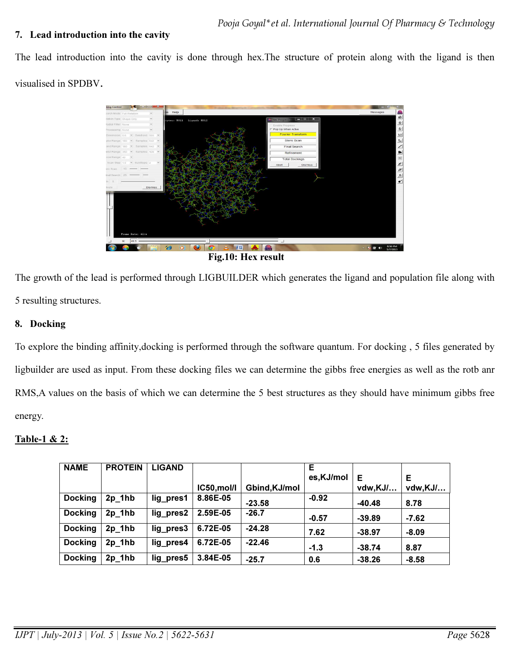## 7. Lead introduction into the cavity

The lead introduction into the cavity is done through hex.The structure of protein along with the ligand is then visualised in SPDBV.



The growth of the lead is performed through LIGBUILDER which generates the ligand and population file along with 5 resulting structures.

## 8. Docking

To explore the binding affinity,docking is performed through the software quantum. For docking , 5 files generated by ligbuilder are used as input. From these docking files we can determine the gibbs free energies as well as the rotb anr RMS,A values on the basis of which we can determine the 5 best structures as they should have minimum gibbs free energy.

# Table-1 & 2: Ξ

| <b>NAME</b>    | <b>PROTEIN</b> | <b>LIGAND</b> |             |               | Е         |          |         |
|----------------|----------------|---------------|-------------|---------------|-----------|----------|---------|
|                |                |               |             |               | es,KJ/mol | Е        | Е       |
|                |                |               | IC50, mol/l | Gbind, KJ/mol |           | vdw,KJ/  | vdw,KJ/ |
| <b>Docking</b> | $2p$ 1hb       | lig pres1     | 8.86E-05    | $-23.58$      | $-0.92$   | $-40.48$ | 8.78    |
| <b>Docking</b> | $2p$ 1hb       | lig pres2     | 2.59E-05    | $-26.7$       | $-0.57$   | $-39.89$ | $-7.62$ |
| <b>Docking</b> | $2p$ 1hb       | lig pres3     | 6.72E-05    | $-24.28$      | 7.62      | $-38.97$ | $-8.09$ |
| <b>Docking</b> | $2p$ 1hb       | lig pres4     | 6.72E-05    | $-22.46$      | $-1.3$    | $-38.74$ | 8.87    |
| <b>Docking</b> | $2p$ 1hb       | lig pres5     | 3.84E-05    | $-25.7$       | 0.6       | $-38.26$ | $-8.58$ |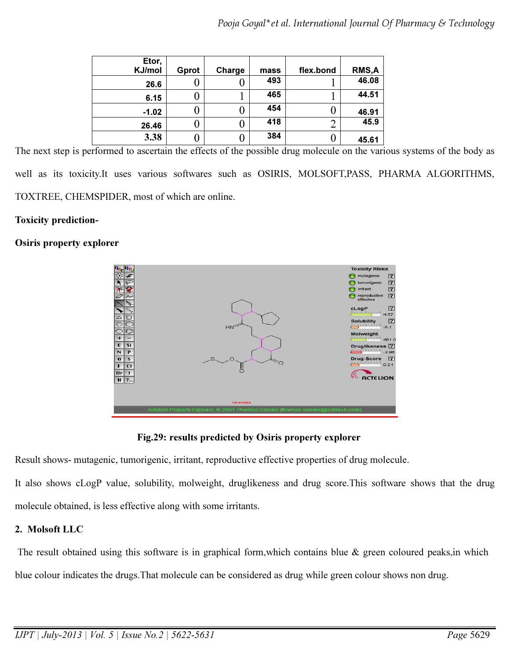| Etor,<br>KJ/mol | Gprot | Charge | mass | flex.bond | <b>RMS,A</b> |
|-----------------|-------|--------|------|-----------|--------------|
| 26.6            |       |        | 493  |           | 46.08        |
| 6.15            |       |        | 465  |           | 44.51        |
| $-1.02$         | U     |        | 454  |           | 46.91        |
| 26.46           |       |        | 418  | ◠<br>∠    | 45.9         |
| 3.38            |       |        | 384  |           | 45.61        |

The next step is performed to ascertain the effects of the possible drug molecule on the various systems of the body as well as its toxicity.It uses various softwares such as OSIRIS, MOLSOFT,PASS, PHARMA ALGORITHMS, TOXTREE, CHEMSPIDER, most of which are online.

### Toxicity prediction-

## Osiris property explorer



Fig.29: results predicted by Osiris property explorer

Result shows- mutagenic, tumorigenic, irritant, reproductive effective properties of drug molecule.

It also shows cLogP value, solubility, molweight, druglikeness and drug score.This software shows that the drug molecule obtained, is less effective along with some irritants.

# 2. Molsoft LLC

The result obtained using this software is in graphical form, which contains blue & green coloured peaks, in which blue colour indicates the drugs.That molecule can be considered as drug while green colour shows non drug.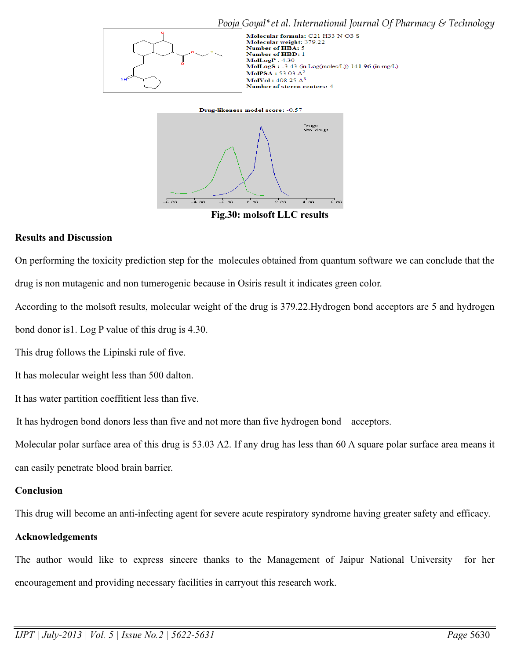

Fig.30: molsoft LLC results

#### Results and Discussion

On performing the toxicity prediction step for the molecules obtained from quantum software we can conclude that the drug is non mutagenic and non tumerogenic because in Osiris result it indicates green color.

According to the molsoft results, molecular weight of the drug is 379.22.Hydrogen bond acceptors are 5 and hydrogen bond donor is1. Log P value of this drug is 4.30.

This drug follows the Lipinski rule of five.

It has molecular weight less than 500 dalton.

It has water partition coeffitient less than five.

It has hydrogen bond donors less than five and not more than five hydrogen bond acceptors.

Molecular polar surface area of this drug is 53.03 A2. If any drug has less than 60 A square polar surface area means it can easily penetrate blood brain barrier.

### **Conclusion**

This drug will become an anti-infecting agent for severe acute respiratory syndrome having greater safety and efficacy.

#### Acknowledgements

The author would like to express sincere thanks to the Management of Jaipur National University for her encouragement and providing necessary facilities in carryout this research work.